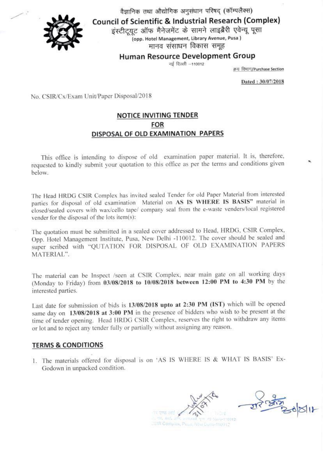

वैज्ञानिक तथा औद्योगिक अनुसंधान परिषद (कॉम्पलैक्स) **Council of Scientific & Industrial Research (Complex)** 

इंस्टीट्यूट ऑफ मैनेजमेंट के सामने लाइब्रैरी एवेन्यू पूसा .<br>(opp. Hotel Management, Library Avenue, Pusa)

मानव संसाधन विकास समूह

**Human Resource Development Group** 

नई दिल्ली --110012

क्रय विभाग/Purchase Section

Dated: 30/07/2018

No. CSIR/Cx/Exam Unit/Paper Disposal/2018

## NOTICE INVITING TENDER **FOR** DISPOSAL OF OLD EXAMINATION PAPERS

This office is intending to dispose of old examination paper material. It is, therefore, requested to kindly submit your quotation to this office as per the terms and conditions given below.

The Head HRDG CSIR Complex has invited sealed Tender for old Paper Material from interested parties for disposal of old examination Material on AS IS WHERE IS BASIS" material in closed/sealed covers with wax/cello tape/ company seal from the e-waste venders/local registered vender for the disposal of the lots item(s):

The quotation must be submitted in a sealed cover addressed to Head, HRDG, CSIR Complex, Opp. Hotel Management Institute, Pusa, New Delhi -110012. The cover should be sealed and super scribed with "QUTATION FOR DISPOSAL OF OLD EXAMINATION PAPERS MATERIAL".

The material can be Inspect /seen at CSIR Complex, near main gate on all working days (Monday to Friday) from 03/08/2018 to 10/08/2018 between 12:00 PM to 4:30 PM by the interested parties.

Last date for submission of bids is 13/08/2018 upto at 2:30 PM (IST) which will be opened same day on 13/08/2018 at 3:00 PM in the presence of bidders who wish to be present at the time of tender opening. Head HRDG CSIR Complex, reserves the right to withdraw any items or lot and to reject any tender fully or partially without assigning any reason.

## **TERMS & CONDITIONS**

1. The materials offered for disposal is on 'AS IS WHERE IS & WHAT IS BASIS' Ex-Godown in unpacked condition.

WL Mitd. CSIR Complex, Piusa, New Dena-110012

7123120 011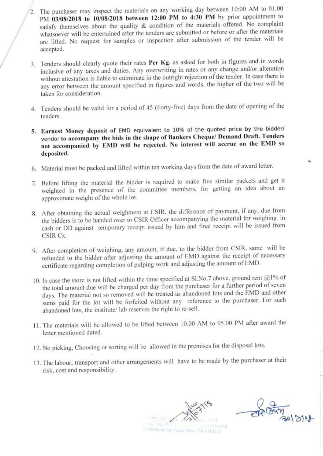- The purchaser may inspect the materials on any working day between 10:00 AM to 01:00 PM 03/08/2018 to 10/08/2018 between 12:00 PM to 4:30 PM by prior appointment to satisfy themselves about the quality & condition of the materials offered. No complaint whatsoever will be entertained after the tenders are submitted or before or after the materials are lifted. No request for samples or inspection after submission of the tender will be accepted.
- 3. Tenders should clearly quote their rates Per Kg. as asked for both in figures and in words inclusive of any taxes and duties. Any overwriting in rates or any change and/or alteration without attestation is liable to culminate in the outright rejection of the tender. In case there is any error between the amount specified in figures and words, the higher of the two will be taken for consideration,
- 4. Tenders should be valid for a period of 45 (Forty-five) days from the date of opening of the tenders.
- 5. Earnest Money deposit of EMD equivalent to 10% of the quoted price by the bidder/ vendor to accompany the bids in the shape of Bankers Cheque/ Demand Draft. Tenders not accompanied by EMD will be rejected. No interest will accrue on the EMD so deposited.
- 6. Material must be packed and lifted within ten working days from the date of award letter.
- 7. Before lifting the material the bidder is required to make five similar packets and get it weighted in the presence of the committee members, for getting an idea about an approximate weight of the whole lot.
- 8. After obtaining the actual weighment at CSIR, the difference of payment, if any. due from the bidders is to be handed over to CSIR Officer accompanying the material for weighing in cash or DD against temporary receipt issued by him and final receipt will be issued from CSIR Cx,
- 9. After completion of weighing, any amount, if due, to the bidder from CSIR, same will be refunded to the bidder after adjusting the amount of EMD against the receipt of necessary certificate regarding completion of pulping work and adjusting the amount of EMD.
- 10. In case the store is not lifted within the time specified at SI. No.7 above, ground rent @1% of the total amount due will be charged per day from the purchaser for a further period of seven days. The material not so removed will be treated as abandoned lots and the EMD and other sums paid for the lot will be forfeited without any reference to the purchaser. For such abandoned lots, the institute/ lab reserves the right to re-sell.
- 11. The materials will be allowed to be lifted between 10.00 AM to 05.00 PM after award the letter mentioned dated.
- 12, No picking, Choosing or sorting will be allowed in the premises for the disposal lots.
- 13, The labour, transport and other arrangements will have to be made by the purchaser at their risk, cost and responsibility

al 3118 all 30/ 3/18 OSIR Complex, Pusa, New Delhi-110012